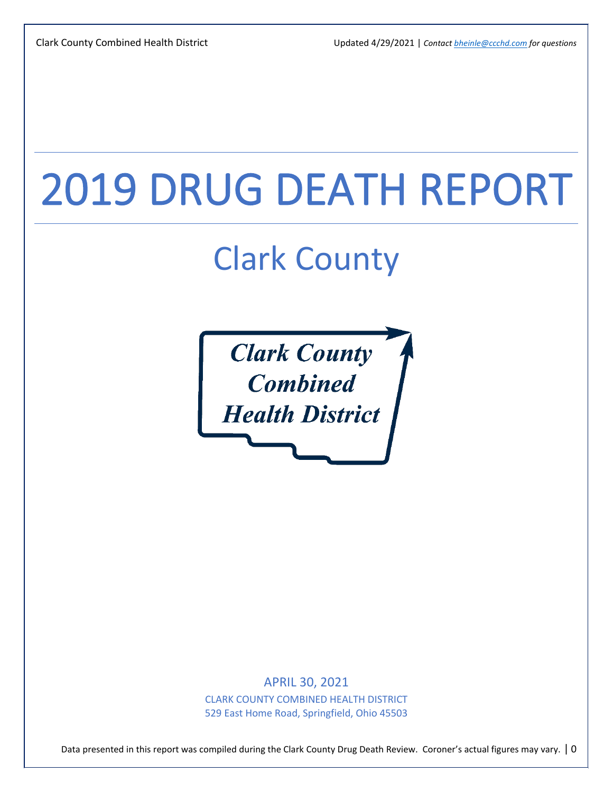# 2019 DRUG DEATH REPORT

## Clark County



APRIL 30, 2021 CLARK COUNTY COMBINED HEALTH DISTRICT 529 East Home Road, Springfield, Ohio 45503

Data presented in this report was compiled during the Clark County Drug Death Review. Coroner's actual figures may vary. | 0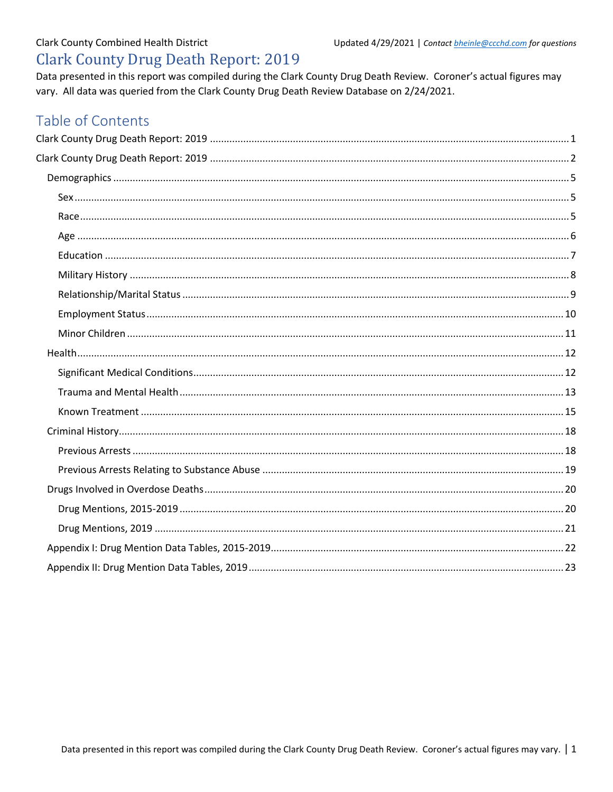### <span id="page-1-0"></span>**Clark County Combined Health District Clark County Drug Death Report: 2019**

Data presented in this report was compiled during the Clark County Drug Death Review. Coroner's actual figures may vary. All data was queried from the Clark County Drug Death Review Database on 2/24/2021.

### Table of Contents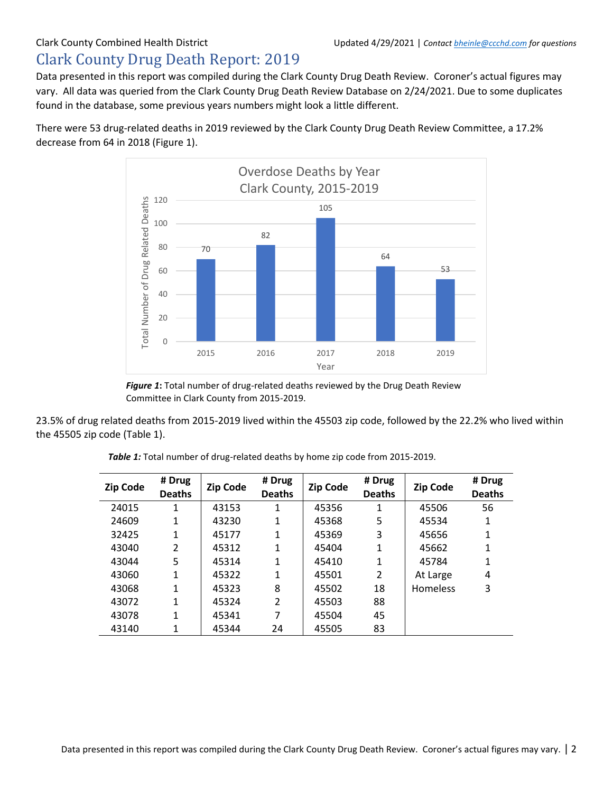### <span id="page-2-0"></span>Clark County Drug Death Report: 2019

Data presented in this report was compiled during the Clark County Drug Death Review. Coroner's actual figures may vary. All data was queried from the Clark County Drug Death Review Database on 2/24/2021. Due to some duplicates found in the database, some previous years numbers might look a little different.

There were 53 drug-related deaths in 2019 reviewed by the Clark County Drug Death Review Committee, a 17.2% decrease from 64 in 2018 (Figure 1).



*Figure 1***:** Total number of drug-related deaths reviewed by the Drug Death Review Committee in Clark County from 2015-2019.

23.5% of drug related deaths from 2015-2019 lived within the 45503 zip code, followed by the 22.2% who lived within the 45505 zip code (Table 1).

| <b>Zip Code</b> | # Drug<br><b>Deaths</b> | <b>Zip Code</b> | # Drug<br><b>Deaths</b> | <b>Zip Code</b> | # Drug<br><b>Deaths</b> | <b>Zip Code</b> | # Drug<br><b>Deaths</b> |
|-----------------|-------------------------|-----------------|-------------------------|-----------------|-------------------------|-----------------|-------------------------|
| 24015           | 1                       | 43153           | 1                       | 45356           | 1                       | 45506           | 56                      |
| 24609           | 1                       | 43230           | 1                       | 45368           | 5                       | 45534           | 1                       |
| 32425           | 1                       | 45177           | 1                       | 45369           | 3                       | 45656           | 1                       |
| 43040           | 2                       | 45312           | 1                       | 45404           | 1                       | 45662           | 1                       |
| 43044           | 5                       | 45314           | 1                       | 45410           | 1                       | 45784           | 1                       |
| 43060           | 1                       | 45322           | 1                       | 45501           | $\mathcal{P}$           | At Large        | 4                       |
| 43068           | 1                       | 45323           | 8                       | 45502           | 18                      | <b>Homeless</b> | 3                       |
| 43072           | 1                       | 45324           | $\overline{2}$          | 45503           | 88                      |                 |                         |
| 43078           | 1                       | 45341           | 7                       | 45504           | 45                      |                 |                         |
| 43140           | 1                       | 45344           | 24                      | 45505           | 83                      |                 |                         |

*Table 1:* Total number of drug-related deaths by home zip code from 2015-2019.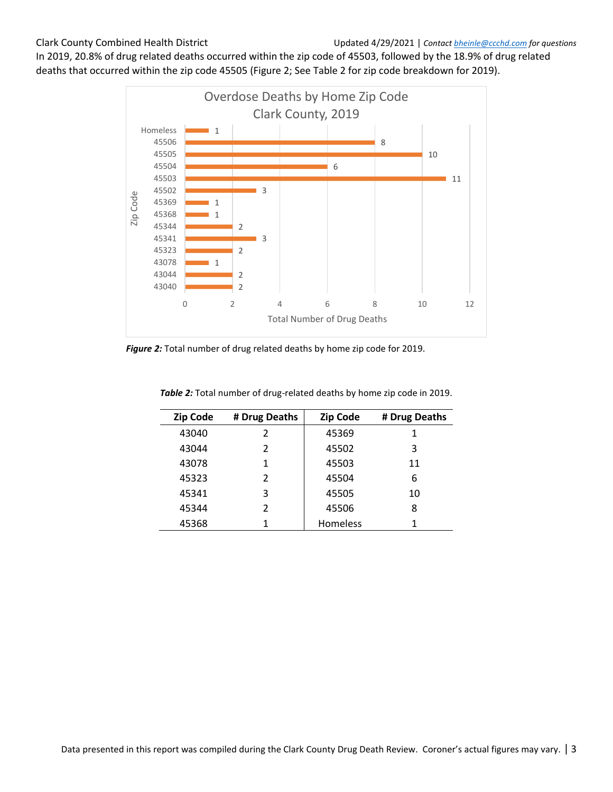In 2019, 20.8% of drug related deaths occurred within the zip code of 45503, followed by the 18.9% of drug related deaths that occurred within the zip code 45505 (Figure 2; See Table 2 for zip code breakdown for 2019).



*Figure 2:* Total number of drug related deaths by home zip code for 2019.

| <b>Zip Code</b> | # Drug Deaths | <b>Zip Code</b> | # Drug Deaths |
|-----------------|---------------|-----------------|---------------|
| 43040           | 2             | 45369           | 1             |
| 43044           | 2             | 45502           | 3             |
| 43078           | 1             | 45503           | 11            |
| 45323           | 2             | 45504           | 6             |
| 45341           | 3             | 45505           | 10            |
| 45344           | 2             | 45506           | 8             |
| 45368           |               | <b>Homeless</b> |               |

**Table 2:** Total number of drug-related deaths by home zip code in 2019.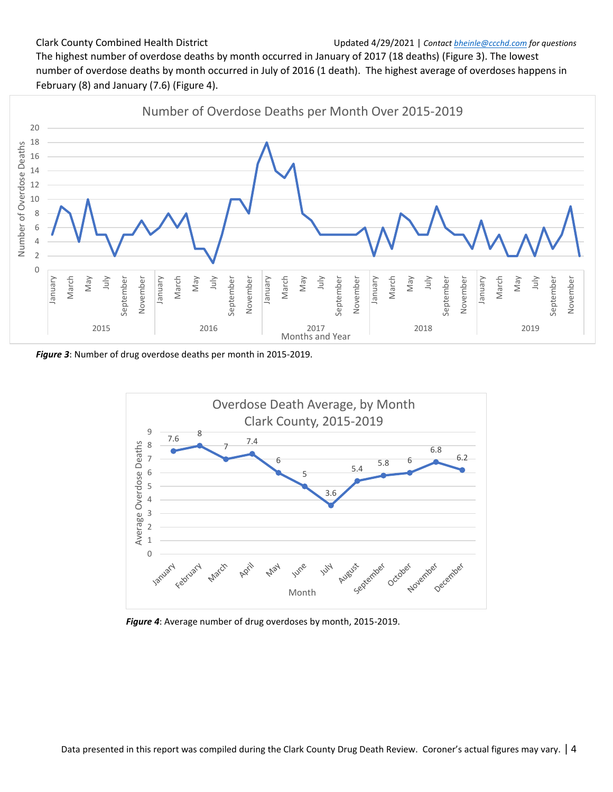#### Clark County Combined Health District Updated 4/29/2021 | *Contact bheinle@ccchd.com for questions*

The highest number of overdose deaths by month occurred in January of 2017 (18 deaths) (Figure 3). The lowest number of overdose deaths by month occurred in July of 2016 (1 death). The highest average of overdoses happens in February (8) and January (7.6) (Figure 4).



*Figure 3*: Number of drug overdose deaths per month in 2015-2019.



*Figure 4*: Average number of drug overdoses by month, 2015-2019.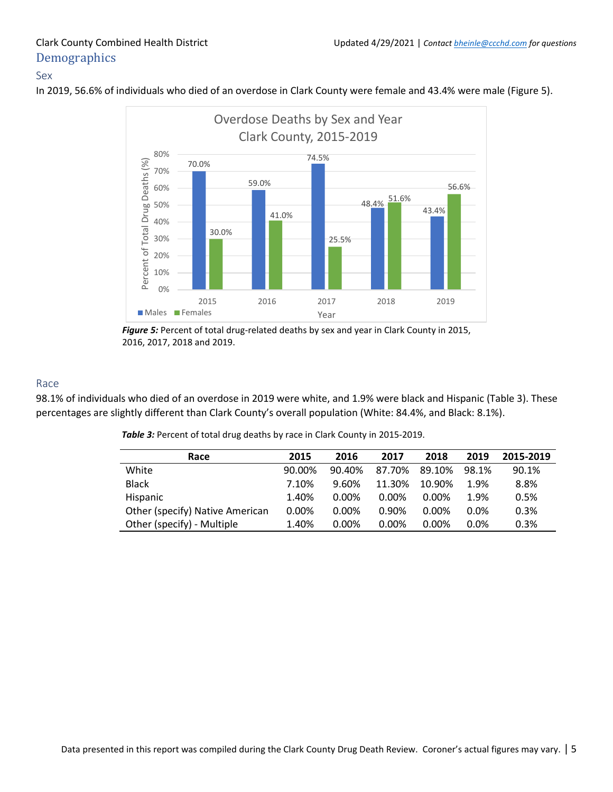## <span id="page-5-0"></span>**Demographics**

#### <span id="page-5-1"></span>Sex

In 2019, 56.6% of individuals who died of an overdose in Clark County were female and 43.4% were male (Figure 5).



*Figure 5:* Percent of total drug-related deaths by sex and year in Clark County in 2015, 2016, 2017, 2018 and 2019.

#### <span id="page-5-2"></span>Race

98.1% of individuals who died of an overdose in 2019 were white, and 1.9% were black and Hispanic (Table 3). These percentages are slightly different than Clark County's overall population (White: 84.4%, and Black: 8.1%).

**Table 3:** Percent of total drug deaths by race in Clark County in 2015-2019.

| Race                            | 2015     | 2016     | 2017   | 2018     | 2019    | 2015-2019 |
|---------------------------------|----------|----------|--------|----------|---------|-----------|
| White                           | 90.00%   | 90.40%   | 87.70% | 89.10%   | 98.1%   | 90.1%     |
| <b>Black</b>                    | 7.10%    | 9.60%    | 11.30% | 10.90%   | 1.9%    | 8.8%      |
| <b>Hispanic</b>                 | 1.40%    | 0.00%    | 0.00%  | 0.00%    | 1.9%    | 0.5%      |
| Other (specify) Native American | $0.00\%$ | 0.00%    | 0.90%  | 0.00%    | $0.0\%$ | 0.3%      |
| Other (specify) - Multiple      | 1.40%    | $0.00\%$ | 0.00%  | $0.00\%$ | $0.0\%$ | 0.3%      |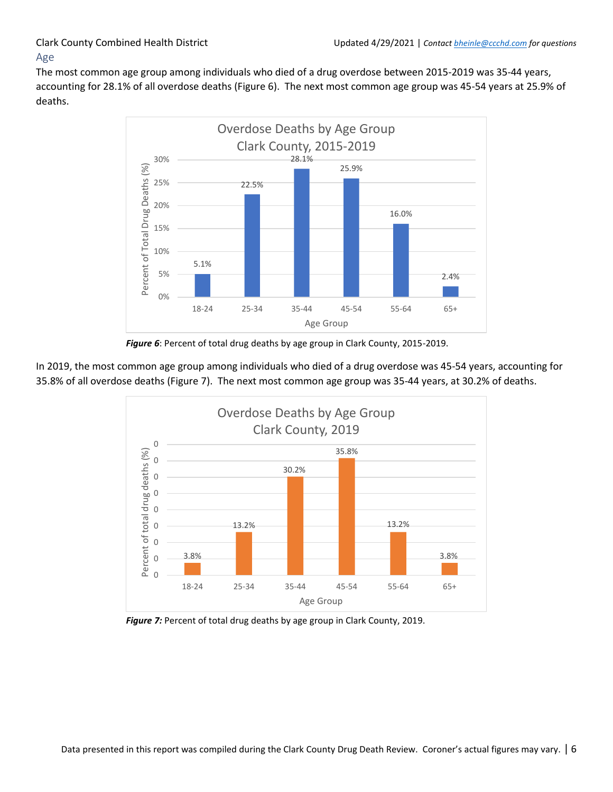#### <span id="page-6-0"></span>The most common age group among individuals who died of a drug overdose between 2015-2019 was 35-44 years, accounting for 28.1% of all overdose deaths (Figure 6). The next most common age group was 45-54 years at 25.9% of deaths.



*Figure 6*: Percent of total drug deaths by age group in Clark County, 2015-2019.

In 2019, the most common age group among individuals who died of a drug overdose was 45-54 years, accounting for 35.8% of all overdose deaths (Figure 7). The next most common age group was 35-44 years, at 30.2% of deaths.



*Figure 7:* Percent of total drug deaths by age group in Clark County, 2019.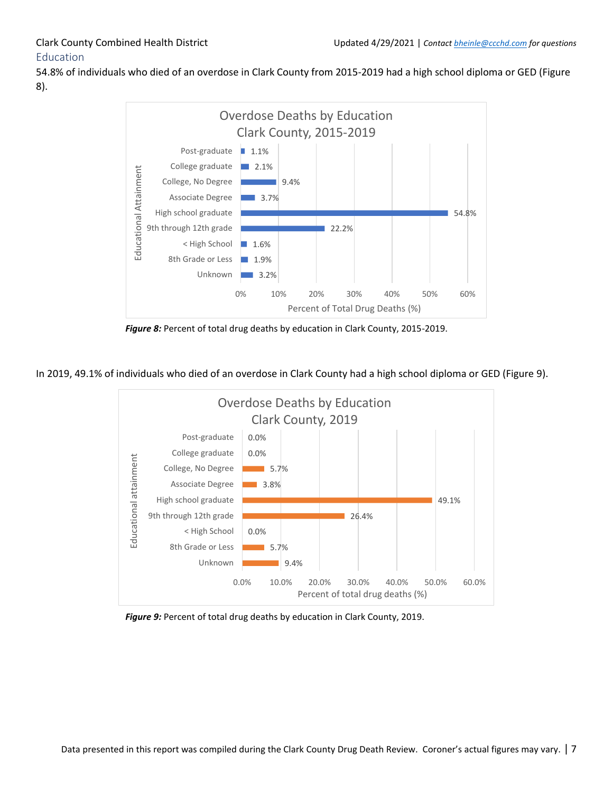### <span id="page-7-0"></span>Education

54.8% of individuals who died of an overdose in Clark County from 2015-2019 had a high school diploma or GED (Figure 8).



*Figure 8:* Percent of total drug deaths by education in Clark County, 2015-2019.

In 2019, 49.1% of individuals who died of an overdose in Clark County had a high school diploma or GED (Figure 9).



*Figure 9:* Percent of total drug deaths by education in Clark County, 2019.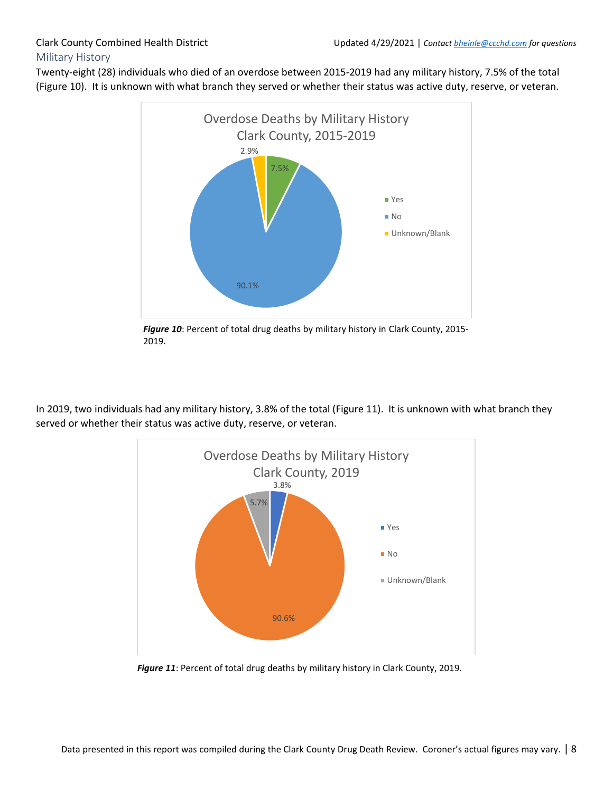#### <span id="page-8-0"></span>Twenty-eight (28) individuals who died of an overdose between 2015-2019 had any military history, 7.5% of the total (Figure 10). It is unknown with what branch they served or whether their status was active duty, reserve, or veteran.



*Figure 10*: Percent of total drug deaths by military history in Clark County, 2015- 2019.

In 2019, two individuals had any military history, 3.8% of the total (Figure 11). It is unknown with what branch they served or whether their status was active duty, reserve, or veteran.



*Figure 11*: Percent of total drug deaths by military history in Clark County, 2019.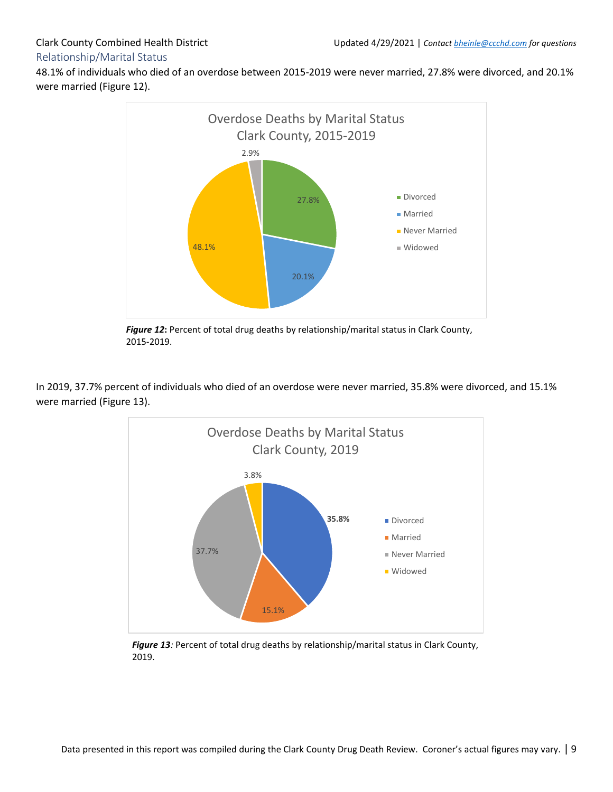### <span id="page-9-0"></span>48.1% of individuals who died of an overdose between 2015-2019 were never married, 27.8% were divorced, and 20.1% were married (Figure 12).



*Figure 12***:** Percent of total drug deaths by relationship/marital status in Clark County, 2015-2019.

In 2019, 37.7% percent of individuals who died of an overdose were never married, 35.8% were divorced, and 15.1% were married (Figure 13).



*Figure 13:* Percent of total drug deaths by relationship/marital status in Clark County, 2019.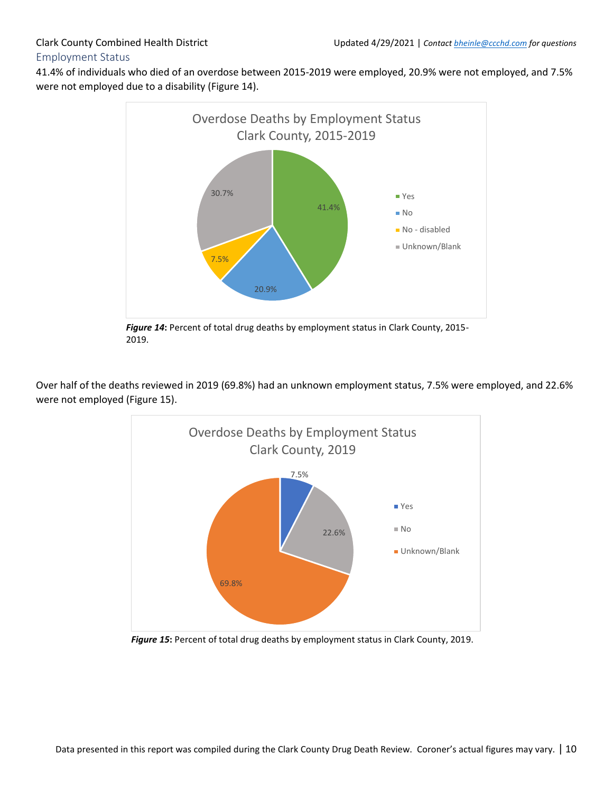## <span id="page-10-0"></span>Employment Status

41.4% of individuals who died of an overdose between 2015-2019 were employed, 20.9% were not employed, and 7.5% were not employed due to a disability (Figure 14).



*Figure 14***:** Percent of total drug deaths by employment status in Clark County, 2015- 2019.

Over half of the deaths reviewed in 2019 (69.8%) had an unknown employment status, 7.5% were employed, and 22.6% were not employed (Figure 15).



*Figure 15***:** Percent of total drug deaths by employment status in Clark County, 2019.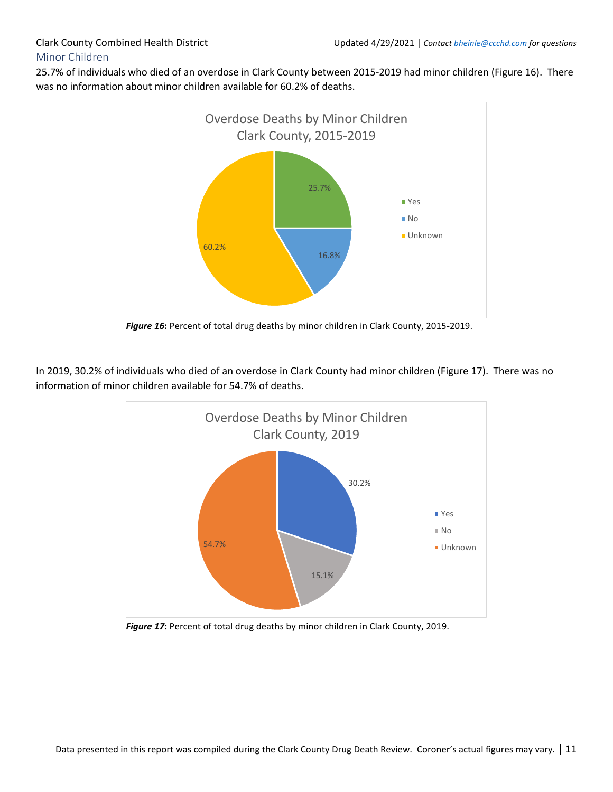#### <span id="page-11-0"></span>25.7% of individuals who died of an overdose in Clark County between 2015-2019 had minor children (Figure 16). There was no information about minor children available for 60.2% of deaths.



*Figure 16***:** Percent of total drug deaths by minor children in Clark County, 2015-2019.

In 2019, 30.2% of individuals who died of an overdose in Clark County had minor children (Figure 17). There was no information of minor children available for 54.7% of deaths.



*Figure 17***:** Percent of total drug deaths by minor children in Clark County, 2019.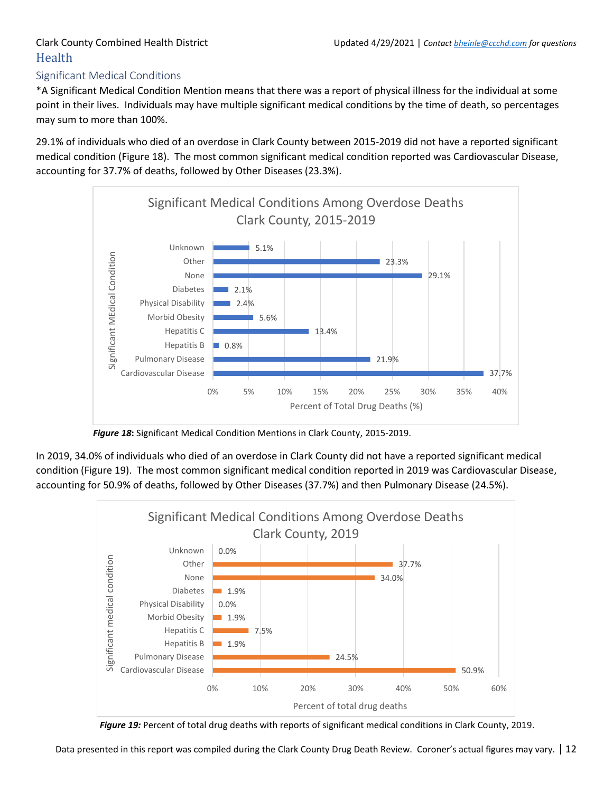## <span id="page-12-0"></span>Health

### <span id="page-12-1"></span>Significant Medical Conditions

\*A Significant Medical Condition Mention means that there was a report of physical illness for the individual at some point in their lives. Individuals may have multiple significant medical conditions by the time of death, so percentages may sum to more than 100%.

29.1% of individuals who died of an overdose in Clark County between 2015-2019 did not have a reported significant medical condition (Figure 18). The most common significant medical condition reported was Cardiovascular Disease, accounting for 37.7% of deaths, followed by Other Diseases (23.3%).



*Figure 18***:** Significant Medical Condition Mentions in Clark County, 2015-2019.

In 2019, 34.0% of individuals who died of an overdose in Clark County did not have a reported significant medical condition (Figure 19). The most common significant medical condition reported in 2019 was Cardiovascular Disease, accounting for 50.9% of deaths, followed by Other Diseases (37.7%) and then Pulmonary Disease (24.5%).



*Figure 19:* Percent of total drug deaths with reports of significant medical conditions in Clark County, 2019.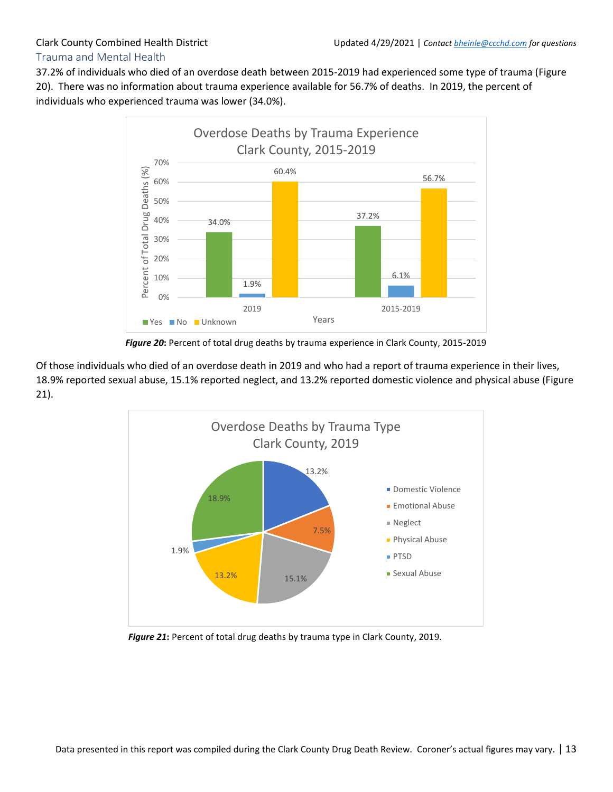### <span id="page-13-0"></span>Trauma and Mental Health

37.2% of individuals who died of an overdose death between 2015-2019 had experienced some type of trauma (Figure 20). There was no information about trauma experience available for 56.7% of deaths. In 2019, the percent of individuals who experienced trauma was lower (34.0%).



*Figure 20***:** Percent of total drug deaths by trauma experience in Clark County, 2015-2019

Of those individuals who died of an overdose death in 2019 and who had a report of trauma experience in their lives, 18.9% reported sexual abuse, 15.1% reported neglect, and 13.2% reported domestic violence and physical abuse (Figure 21).



*Figure 21***:** Percent of total drug deaths by trauma type in Clark County, 2019.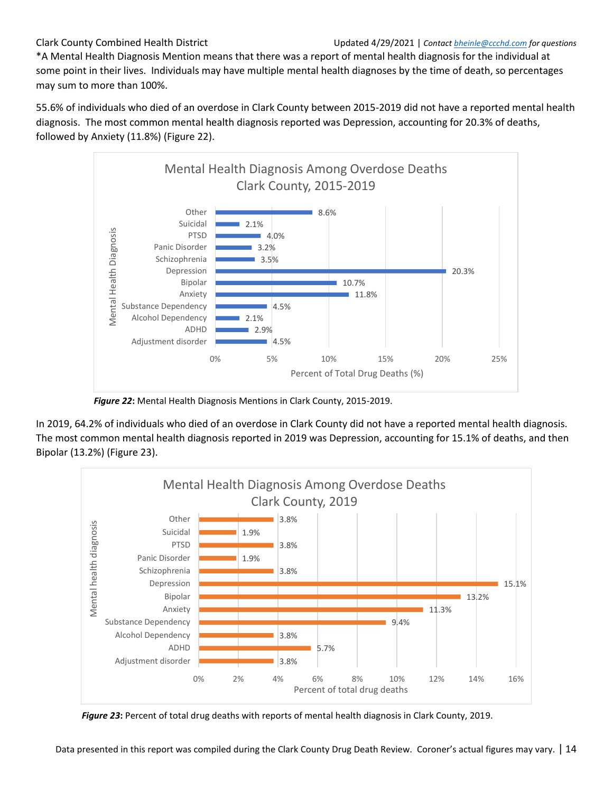\*A Mental Health Diagnosis Mention means that there was a report of mental health diagnosis for the individual at some point in their lives. Individuals may have multiple mental health diagnoses by the time of death, so percentages may sum to more than 100%.

55.6% of individuals who died of an overdose in Clark County between 2015-2019 did not have a reported mental health diagnosis. The most common mental health diagnosis reported was Depression, accounting for 20.3% of deaths, followed by Anxiety (11.8%) (Figure 22).



*Figure 22***:** Mental Health Diagnosis Mentions in Clark County, 2015-2019.

In 2019, 64.2% of individuals who died of an overdose in Clark County did not have a reported mental health diagnosis. The most common mental health diagnosis reported in 2019 was Depression, accounting for 15.1% of deaths, and then Bipolar (13.2%) (Figure 23).



*Figure 23***:** Percent of total drug deaths with reports of mental health diagnosis in Clark County, 2019.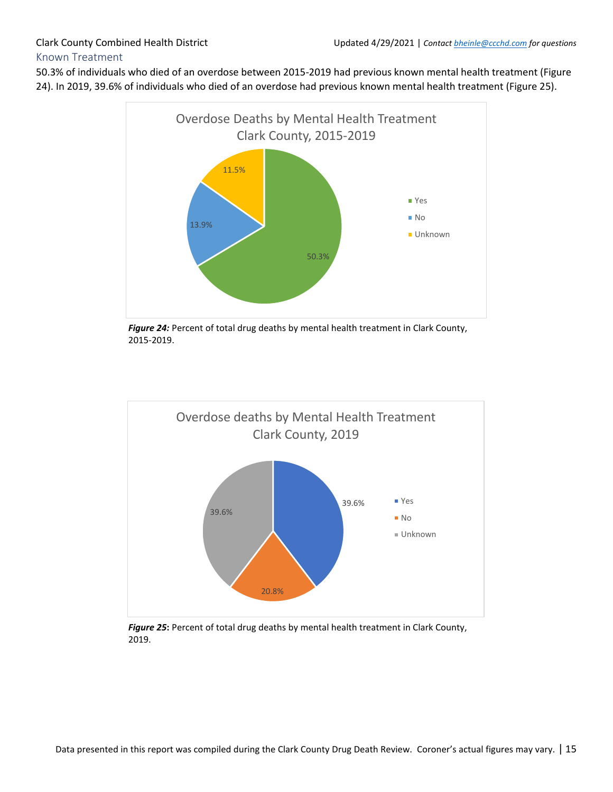#### <span id="page-15-0"></span>50.3% of individuals who died of an overdose between 2015-2019 had previous known mental health treatment (Figure 24). In 2019, 39.6% of individuals who died of an overdose had previous known mental health treatment (Figure 25).



*Figure 24:* Percent of total drug deaths by mental health treatment in Clark County, 2015-2019.



*Figure 25***:** Percent of total drug deaths by mental health treatment in Clark County, 2019.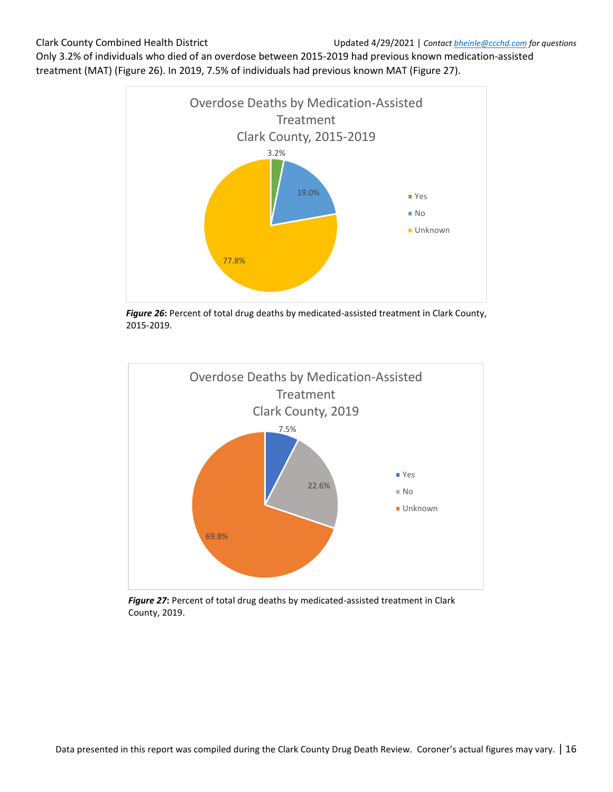Only 3.2% of individuals who died of an overdose between 2015-2019 had previous known medication-assisted treatment (MAT) (Figure 26). In 2019, 7.5% of individuals had previous known MAT (Figure 27).



*Figure 26***:** Percent of total drug deaths by medicated-assisted treatment in Clark County, 2015-2019.



*Figure 27***:** Percent of total drug deaths by medicated-assisted treatment in Clark County, 2019.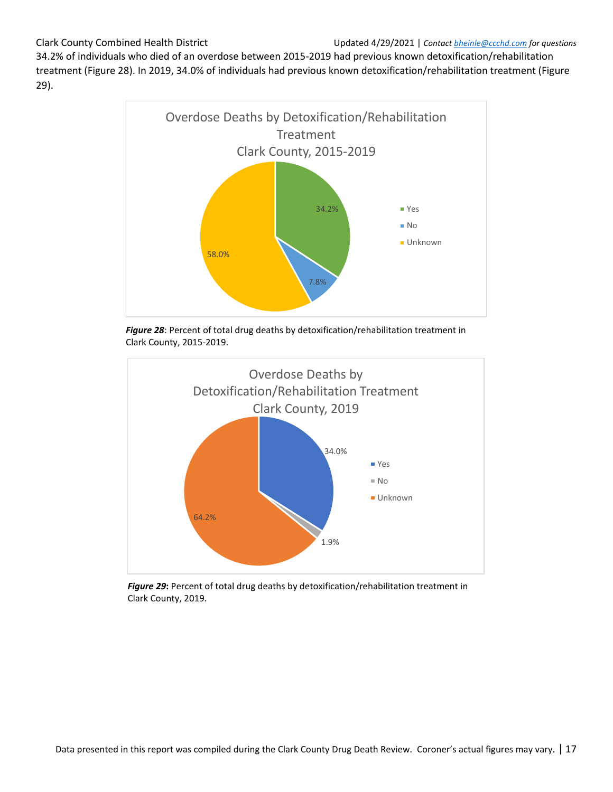34.2% of individuals who died of an overdose between 2015-2019 had previous known detoxification/rehabilitation treatment (Figure 28). In 2019, 34.0% of individuals had previous known detoxification/rehabilitation treatment (Figure 29).



*Figure 28*: Percent of total drug deaths by detoxification/rehabilitation treatment in Clark County, 2015-2019.



*Figure 29***:** Percent of total drug deaths by detoxification/rehabilitation treatment in Clark County, 2019.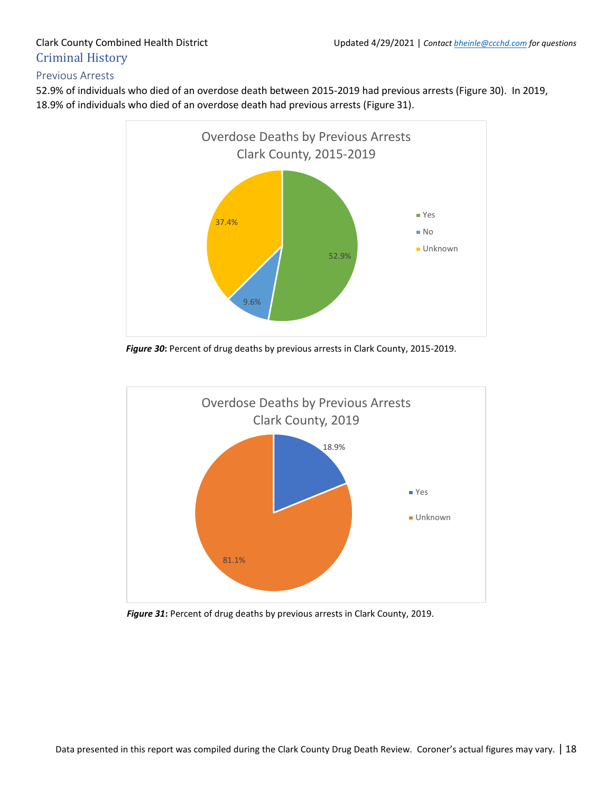## <span id="page-18-0"></span>Criminal History

#### <span id="page-18-1"></span>Previous Arrests

52.9% of individuals who died of an overdose death between 2015-2019 had previous arrests (Figure 30). In 2019, 18.9% of individuals who died of an overdose death had previous arrests (Figure 31).



*Figure 30***:** Percent of drug deaths by previous arrests in Clark County, 2015-2019.



*Figure 31***:** Percent of drug deaths by previous arrests in Clark County, 2019.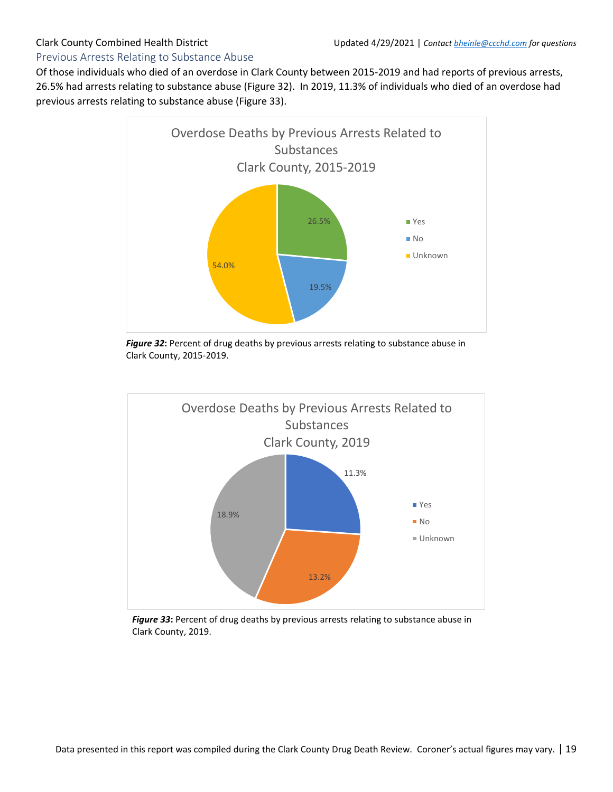#### <span id="page-19-0"></span>Previous Arrests Relating to Substance Abuse

Of those individuals who died of an overdose in Clark County between 2015-2019 and had reports of previous arrests, 26.5% had arrests relating to substance abuse (Figure 32). In 2019, 11.3% of individuals who died of an overdose had previous arrests relating to substance abuse (Figure 33).



*Figure 32***:** Percent of drug deaths by previous arrests relating to substance abuse in Clark County, 2015-2019.



*Figure 33***:** Percent of drug deaths by previous arrests relating to substance abuse in Clark County, 2019.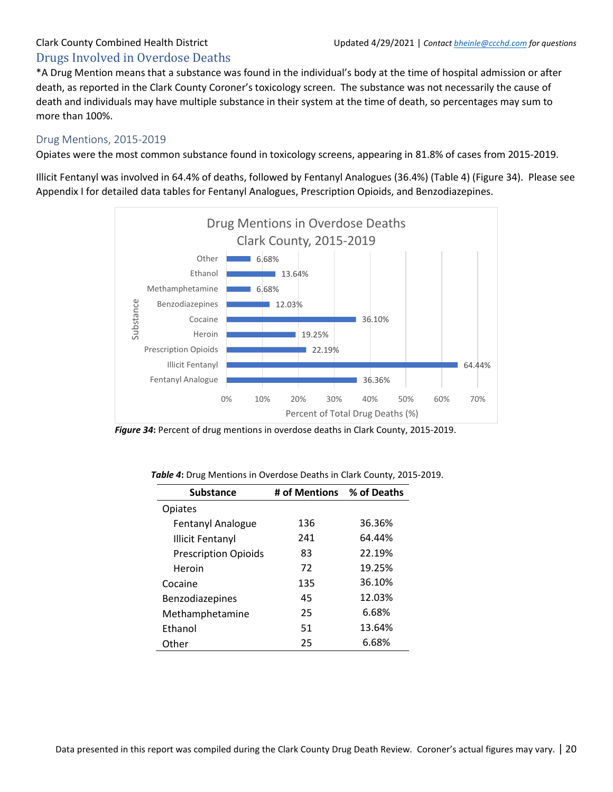## <span id="page-20-0"></span>Drugs Involved in Overdose Deaths

\*A Drug Mention means that a substance was found in the individual's body at the time of hospital admission or after death, as reported in the Clark County Coroner's toxicology screen. The substance was not necessarily the cause of death and individuals may have multiple substance in their system at the time of death, so percentages may sum to more than 100%.

### <span id="page-20-1"></span>Drug Mentions, 2015-2019

Opiates were the most common substance found in toxicology screens, appearing in 81.8% of cases from 2015-2019.

Illicit Fentanyl was involved in 64.4% of deaths, followed by Fentanyl Analogues (36.4%) (Table 4) (Figure 34). Please see Appendix I for detailed data tables for Fentanyl Analogues, Prescription Opioids, and Benzodiazepines.



*Figure 34***:** Percent of drug mentions in overdose deaths in Clark County, 2015-2019.

| <b>Substance</b>            | # of Mentions % of Deaths |        |
|-----------------------------|---------------------------|--------|
| Opiates                     |                           |        |
| Fentanyl Analogue           | 136                       | 36.36% |
| <b>Illicit Fentanyl</b>     | 241                       | 64.44% |
| <b>Prescription Opioids</b> | 83                        | 22.19% |
| Heroin                      | 72                        | 19.25% |
| Cocaine                     | 135                       | 36.10% |
| Benzodiazepines             | 45                        | 12.03% |
| Methamphetamine             | 25                        | 6.68%  |
| Ethanol                     | 51                        | 13.64% |
| Other                       | 25                        | 6.68%  |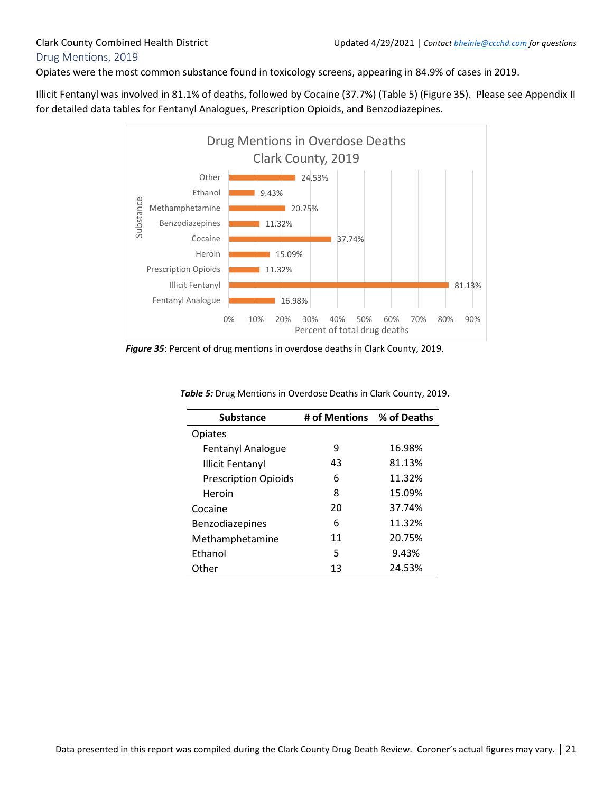### <span id="page-21-0"></span>Drug Mentions, 2019

Opiates were the most common substance found in toxicology screens, appearing in 84.9% of cases in 2019.

Illicit Fentanyl was involved in 81.1% of deaths, followed by Cocaine (37.7%) (Table 5) (Figure 35). Please see Appendix II for detailed data tables for Fentanyl Analogues, Prescription Opioids, and Benzodiazepines.



*Figure 35*: Percent of drug mentions in overdose deaths in Clark County, 2019.

| <b>Substance</b>            | # of Mentions % of Deaths |        |
|-----------------------------|---------------------------|--------|
| Opiates                     |                           |        |
| Fentanyl Analogue           | 9                         | 16.98% |
| <b>Illicit Fentanyl</b>     | 43                        | 81.13% |
| <b>Prescription Opioids</b> | 6                         | 11.32% |
| Heroin                      | 8                         | 15.09% |
| Cocaine                     | 20                        | 37.74% |
| Benzodiazepines             | 6                         | 11.32% |
| Methamphetamine             | 11                        | 20.75% |
| Ethanol                     | 5                         | 9.43%  |
| Other                       | 13                        | 24.53% |

*Table 5:* Drug Mentions in Overdose Deaths in Clark County, 2019.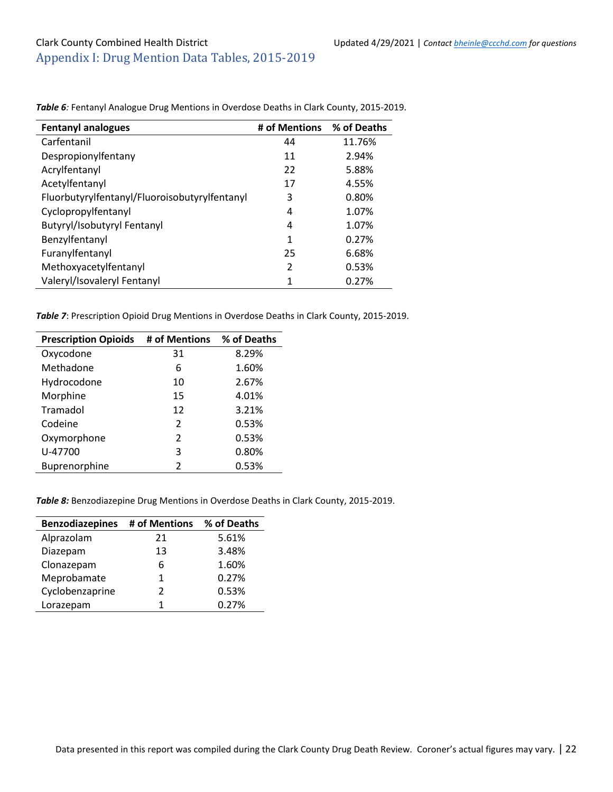| <b>Fentanyl analogues</b>                     | # of Mentions  | % of Deaths |
|-----------------------------------------------|----------------|-------------|
| Carfentanil                                   | 44             | 11.76%      |
| Despropionylfentany                           | 11             | 2.94%       |
| Acrylfentanyl                                 | 22             | 5.88%       |
| Acetylfentanyl                                | 17             | 4.55%       |
| Fluorbutyrylfentanyl/Fluoroisobutyrylfentanyl | 3              | 0.80%       |
| Cyclopropylfentanyl                           | 4              | 1.07%       |
| Butyryl/Isobutyryl Fentanyl                   | 4              | 1.07%       |
| Benzylfentanyl                                | 1              | 0.27%       |
| Furanylfentanyl                               | 25             | 6.68%       |
| Methoxyacetylfentanyl                         | $\overline{2}$ | 0.53%       |
| Valeryl/Isovaleryl Fentanyl                   | 1              | 0.27%       |

<span id="page-22-0"></span>*Table 6:* Fentanyl Analogue Drug Mentions in Overdose Deaths in Clark County, 2015-2019.

*Table 7*: Prescription Opioid Drug Mentions in Overdose Deaths in Clark County, 2015-2019.

| <b>Prescription Opioids</b> | # of Mentions % of Deaths |       |
|-----------------------------|---------------------------|-------|
| Oxycodone                   | 31                        | 8.29% |
| Methadone                   | 6                         | 1.60% |
| Hydrocodone                 | 10                        | 2.67% |
| Morphine                    | 15                        | 4.01% |
| Tramadol                    | 12                        | 3.21% |
| Codeine                     | $\mathfrak{p}$            | 0.53% |
| Oxymorphone                 | $\mathfrak{p}$            | 0.53% |
| U-47700                     | 3                         | 0.80% |
| Buprenorphine               | $\mathcal{P}$             | 0.53% |

*Table 8:* Benzodiazepine Drug Mentions in Overdose Deaths in Clark County, 2015-2019.

| <b>Benzodiazepines</b> | # of Mentions | % of Deaths |
|------------------------|---------------|-------------|
| Alprazolam             | 21            | 5.61%       |
| Diazepam               | 13            | 3.48%       |
| Clonazepam             | 6             | 1.60%       |
| Meprobamate            | 1             | 0.27%       |
| Cyclobenzaprine        | $\mathcal{P}$ | 0.53%       |
| Lorazepam              | 1             | 0.27%       |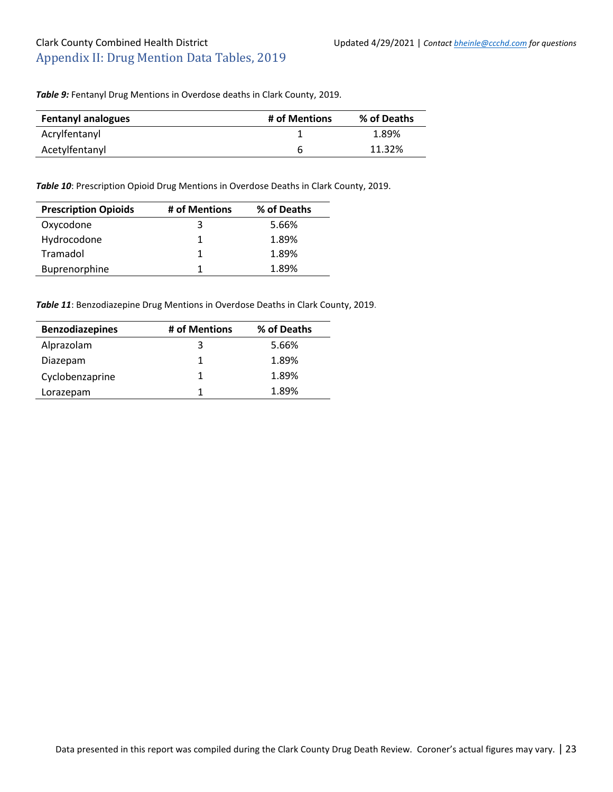### <span id="page-23-0"></span>Clark County Combined Health District Updated 4/29/2021 | *Contact bheinle@ccchd.com for questions* Appendix II: Drug Mention Data Tables, 2019

*Table 9:* Fentanyl Drug Mentions in Overdose deaths in Clark County, 2019.

| <b>Fentanyl analogues</b> | # of Mentions | % of Deaths |
|---------------------------|---------------|-------------|
| Acrylfentanyl             |               | 1.89%       |
| Acetylfentanyl            | h             | 11.32%      |

*Table 10*: Prescription Opioid Drug Mentions in Overdose Deaths in Clark County, 2019.

| <b>Prescription Opioids</b> | # of Mentions | % of Deaths |
|-----------------------------|---------------|-------------|
| Oxycodone                   | 3             | 5.66%       |
| Hydrocodone                 |               | 1.89%       |
| Tramadol                    | 1.            | 1.89%       |
| Buprenorphine               |               | 1.89%       |

*Table 11*: Benzodiazepine Drug Mentions in Overdose Deaths in Clark County, 2019.

| <b>Benzodiazepines</b> | # of Mentions | % of Deaths |
|------------------------|---------------|-------------|
| Alprazolam             | 3             | 5.66%       |
| Diazepam               | 1             | 1.89%       |
| Cyclobenzaprine        | 1             | 1.89%       |
| Lorazepam              | 1             | 1.89%       |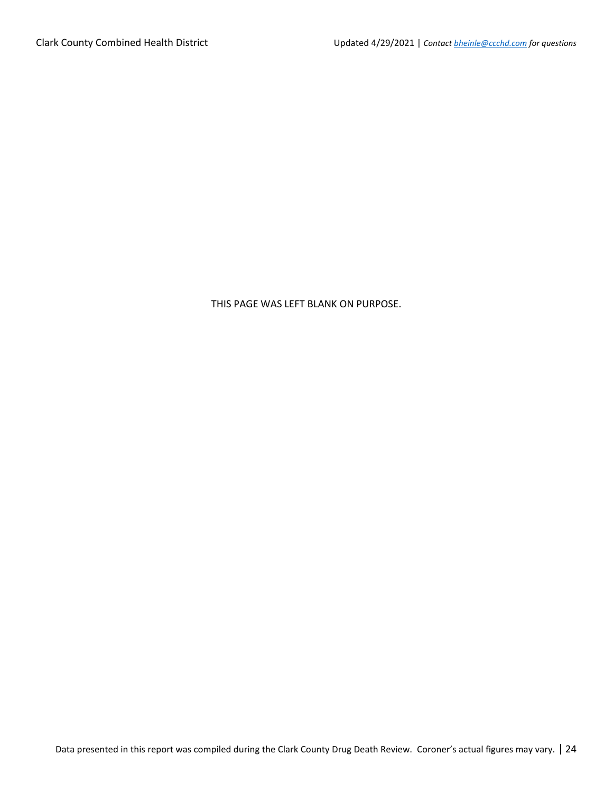#### THIS PAGE WAS LEFT BLANK ON PURPOSE.